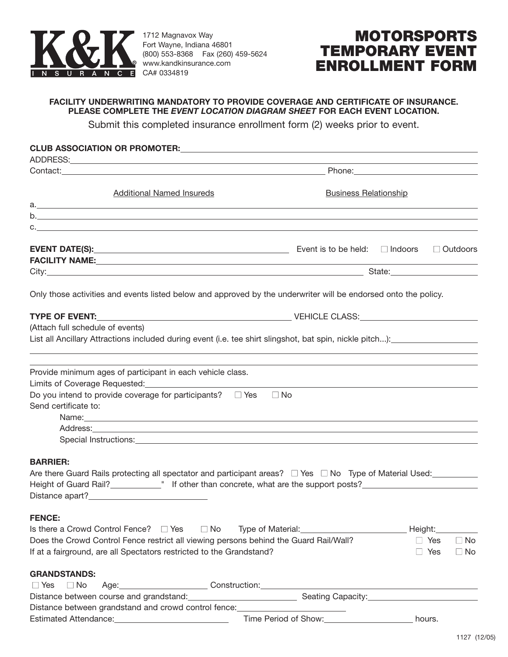

Distance between grandstand and crowd control fence:

1712 Magnavox Way Fort Wayne, Indiana 46801 (800) 553-8368 Fax (260) 459-5624 **www.kandkinsurance.com** N C E CA# 0334819

## **MOTORSPORTS TEMPORARY EVENT ENROLLMENT FORM**

## **FACILITY UNDERWRITING MANDATORY TO PROVIDE COVERAGE AND CERTIFICATE OF INSURANCE. PLEASE COMPLETE THE** *EVENT LOCATION DIAGRAM SHEET* **FOR EACH EVENT LOCATION.**

Submit this completed insurance enrollment form (2) weeks prior to event.

| <b>Additional Named Insureds</b>                                                                                                                                                                                                     | <b>Business Relationship</b> |                         |
|--------------------------------------------------------------------------------------------------------------------------------------------------------------------------------------------------------------------------------------|------------------------------|-------------------------|
|                                                                                                                                                                                                                                      |                              |                         |
| b.                                                                                                                                                                                                                                   |                              |                         |
|                                                                                                                                                                                                                                      |                              |                         |
|                                                                                                                                                                                                                                      |                              |                         |
| FACILITY NAME: And the state of the state of the state of the state of the state of the state of the state of the state of the state of the state of the state of the state of the state of the state of the state of the stat       |                              |                         |
|                                                                                                                                                                                                                                      |                              |                         |
| Only those activities and events listed below and approved by the underwriter will be endorsed onto the policy.                                                                                                                      |                              |                         |
| TYPE OF EVENT: And the USA of Contract Contract Contract Contract CLASS:                                                                                                                                                             |                              |                         |
| (Attach full schedule of events)                                                                                                                                                                                                     |                              |                         |
| List all Ancillary Attractions included during event (i.e. tee shirt slingshot, bat spin, nickle pitch):                                                                                                                             |                              |                         |
|                                                                                                                                                                                                                                      |                              |                         |
| Provide minimum ages of participant in each vehicle class.                                                                                                                                                                           |                              |                         |
|                                                                                                                                                                                                                                      |                              |                         |
| Do you intend to provide coverage for participants? $\square$ Yes                                                                                                                                                                    | $\Box$ No                    |                         |
| Send certificate to:                                                                                                                                                                                                                 |                              |                         |
| Name: Name: Name: Name: Name: Name: Name: Name: Name: Name: Name: Name: Name: Name: Name: Name: Name: Name: Name: Name: Name: Name: Name: Name: Name: Name: Name: Name: Name: Name: Name: Name: Name: Name: Name: Name: Name:        |                              |                         |
|                                                                                                                                                                                                                                      |                              |                         |
| Special Instructions: <u>contract and a set of the set of the set of the set of the set of the set of the set of the set of the set of the set of the set of the set of the set of the set of the set of the set of the set of t</u> |                              |                         |
|                                                                                                                                                                                                                                      |                              |                         |
| <b>BARRIER:</b>                                                                                                                                                                                                                      |                              |                         |
|                                                                                                                                                                                                                                      |                              |                         |
| Height of Guard Rail?_____________" If other than concrete, what are the support posts?_______________________                                                                                                                       |                              |                         |
| Distance apart?_______________________________                                                                                                                                                                                       |                              |                         |
| <b>FENCE:</b>                                                                                                                                                                                                                        |                              |                         |
| Is there a Crowd Control Fence? $\Box$ Yes<br>$\Box$ No                                                                                                                                                                              |                              | Height:                 |
| Does the Crowd Control Fence restrict all viewing persons behind the Guard Rail/Wall?                                                                                                                                                |                              | $\Box$ Yes<br>$\Box$ No |
| If at a fairground, are all Spectators restricted to the Grandstand?                                                                                                                                                                 |                              | $\Box$ Yes<br>$\Box$ No |
| <b>GRANDSTANDS:</b>                                                                                                                                                                                                                  |                              |                         |
| $\Box$ Yes<br>$\Box$ No                                                                                                                                                                                                              |                              |                         |
| Distance between course and grandstand:                                                                                                                                                                                              |                              |                         |

Estimated Attendance: <u>Nicolar Community Community Community Community Community Community Community Community Community Community Community Community Community Community Community Community Community Community Community C</u>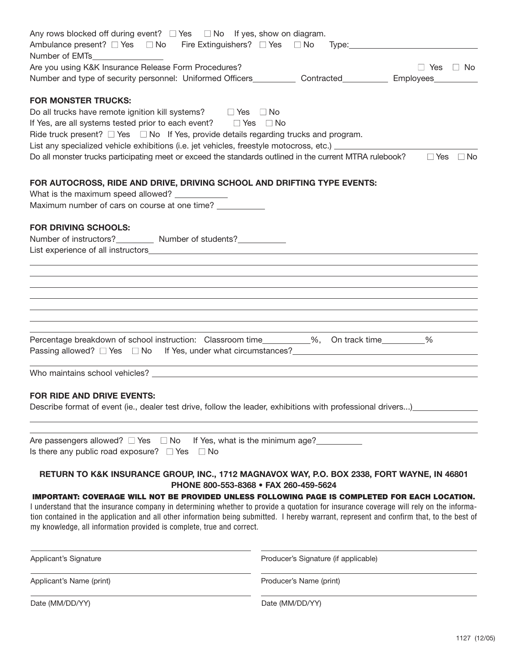| Any rows blocked off during event? $\Box$ Yes $\Box$ No If yes, show on diagram.<br>Ambulance present? $\square$ Yes $\square$ No Fire Extinguishers? $\square$ Yes $\square$ No Type:                             |                                                                                  |  |
|--------------------------------------------------------------------------------------------------------------------------------------------------------------------------------------------------------------------|----------------------------------------------------------------------------------|--|
| Number of EMTs_________________                                                                                                                                                                                    |                                                                                  |  |
| Are you using K&K Insurance Release Form Procedures?                                                                                                                                                               | $\Box$ Yes $\Box$ No                                                             |  |
| Number and type of security personnel: Uniformed Officers_____________ Contracted____________ Employees_______                                                                                                     |                                                                                  |  |
| <b>FOR MONSTER TRUCKS:</b>                                                                                                                                                                                         |                                                                                  |  |
| Do all trucks have remote ignition kill systems? $\square$ Yes $\square$ No                                                                                                                                        |                                                                                  |  |
| If Yes, are all systems tested prior to each event? $\square$ Yes $\square$ No                                                                                                                                     |                                                                                  |  |
| Ride truck present? $\Box$ Yes $\Box$ No If Yes, provide details regarding trucks and program.                                                                                                                     |                                                                                  |  |
| List any specialized vehicle exhibitions (i.e. jet vehicles, freestyle motocross, etc.)                                                                                                                            |                                                                                  |  |
| Do all monster trucks participating meet or exceed the standards outlined in the current MTRA rulebook?                                                                                                            | $\Box$ Yes $\Box$ No                                                             |  |
| FOR AUTOCROSS, RIDE AND DRIVE, DRIVING SCHOOL AND DRIFTING TYPE EVENTS:                                                                                                                                            |                                                                                  |  |
| What is the maximum speed allowed? ___________                                                                                                                                                                     |                                                                                  |  |
| Maximum number of cars on course at one time? ___________                                                                                                                                                          |                                                                                  |  |
| <b>FOR DRIVING SCHOOLS:</b>                                                                                                                                                                                        |                                                                                  |  |
| Number of instructors?___________ Number of students?___________                                                                                                                                                   |                                                                                  |  |
|                                                                                                                                                                                                                    | ,我们也不会有什么。""我们的人,我们也不会有什么?""我们的人,我们也不会有什么?""我们的人,我们也不会有什么?""我们的人,我们也不会有什么?""我们的人 |  |
|                                                                                                                                                                                                                    |                                                                                  |  |
|                                                                                                                                                                                                                    |                                                                                  |  |
|                                                                                                                                                                                                                    |                                                                                  |  |
|                                                                                                                                                                                                                    |                                                                                  |  |
| Percentage breakdown of school instruction: Classroom time_________%, On track time_________%                                                                                                                      |                                                                                  |  |
|                                                                                                                                                                                                                    | <u> 1989 - Johann Stoff, amerikansk politiker (* 1908)</u>                       |  |
| <b>FOR RIDE AND DRIVE EVENTS:</b><br>Describe format of event (ie., dealer test drive, follow the leader, exhibitions with professional drivers)                                                                   |                                                                                  |  |
|                                                                                                                                                                                                                    |                                                                                  |  |
| Are passengers allowed? $\Box$ Yes $\Box$ No If Yes, what is the minimum age?                                                                                                                                      |                                                                                  |  |
| Is there any public road exposure? $\Box$ Yes<br>$\Box$ No                                                                                                                                                         |                                                                                  |  |
| RETURN TO K&K INSURANCE GROUP, INC., 1712 MAGNAVOX WAY, P.O. BOX 2338, FORT WAYNE, IN 46801<br>PHONE 800-553-8368 · FAX 260-459-5624                                                                               |                                                                                  |  |
| IMPORTANT: COVERAGE WILL NOT BE PROVIDED UNLESS FOLLOWING PAGE IS COMPLETED FOR EACH LOCATION.                                                                                                                     |                                                                                  |  |
| I understand that the insurance company in determining whether to provide a quotation for insurance coverage will rely on the informa-                                                                             |                                                                                  |  |
| tion contained in the application and all other information being submitted. I hereby warrant, represent and confirm that, to the best of<br>my knowledge, all information provided is complete, true and correct. |                                                                                  |  |
| Applicant's Signature                                                                                                                                                                                              | Producer's Signature (if applicable)                                             |  |
| Applicant's Name (print)                                                                                                                                                                                           | Producer's Name (print)                                                          |  |
| Date (MM/DD/YY)                                                                                                                                                                                                    | Date (MM/DD/YY)                                                                  |  |